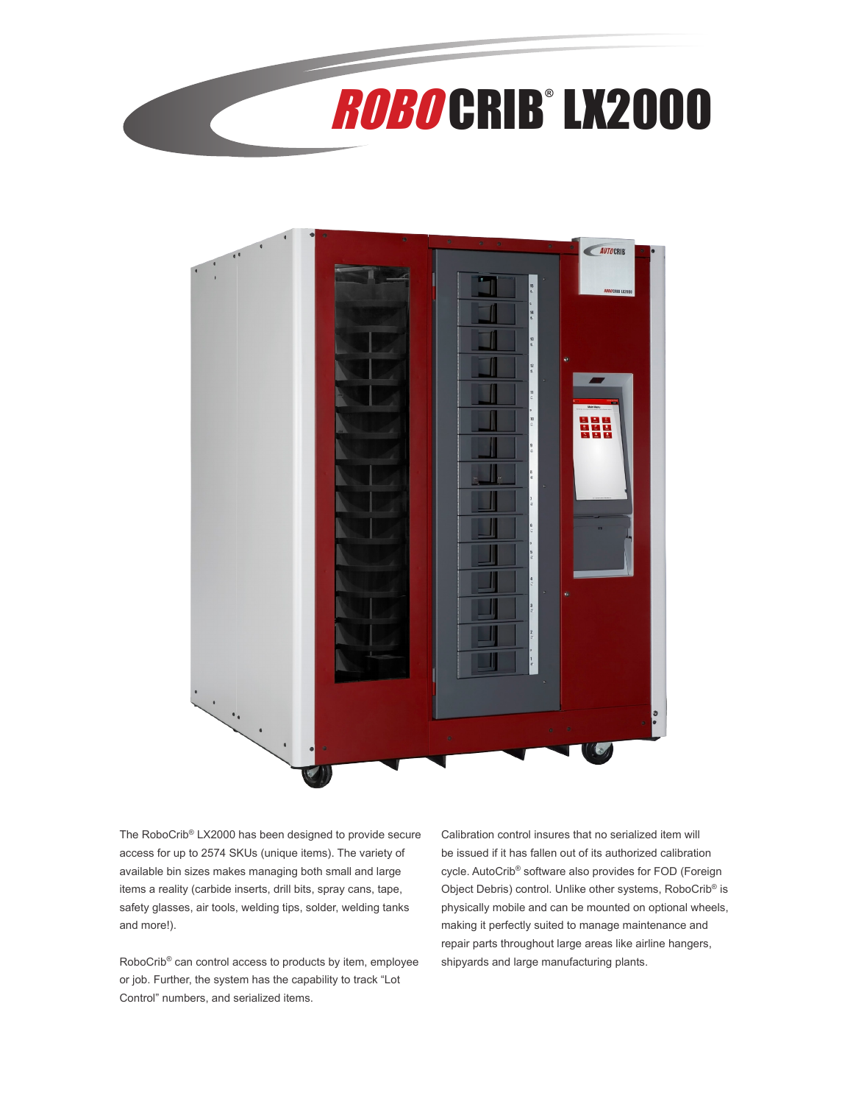



The RoboCrib® LX2000 has been designed to provide secure access for up to 2574 SKUs (unique items). The variety of available bin sizes makes managing both small and large items a reality (carbide inserts, drill bits, spray cans, tape, safety glasses, air tools, welding tips, solder, welding tanks and more!).

RoboCrib® can control access to products by item, employee or job. Further, the system has the capability to track "Lot Control" numbers, and serialized items.

Calibration control insures that no serialized item will be issued if it has fallen out of its authorized calibration cycle. AutoCrib® software also provides for FOD (Foreign Object Debris) control. Unlike other systems, RoboCrib® is physically mobile and can be mounted on optional wheels, making it perfectly suited to manage maintenance and repair parts throughout large areas like airline hangers, shipyards and large manufacturing plants.